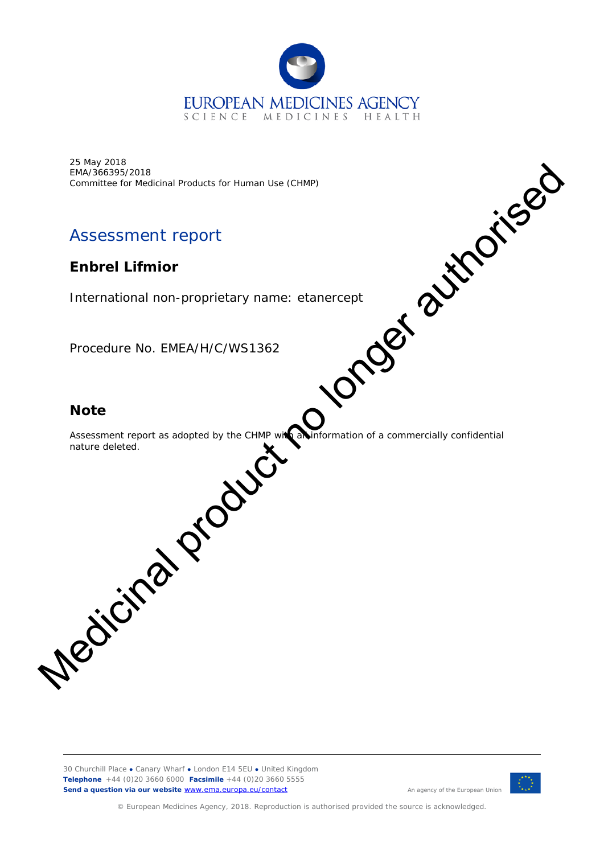

25 May 2018 EMA/366395/2018 Committee for Medicinal Products for Human Use (CHMP)

# Assessment report

# **Enbrel Lifmior**

International non-proprietary name: etanercept

Procedure No. EMEA/H/C/WS1362

## **Note**

Assessment report as adopted by the CHMP with all information of a commercially confidential nature deleted. Experiment of the Medicinal Products for Human Use (CHAMP)<br>
Assessment report<br>
International non-proprietary name: etanercept<br>
Procedure No. EMEA/H/C/WS1362<br>
Note<br>
Note<br>
Assessment report as adopted by the Glass of CONCORN

30 Churchill Place **●** Canary Wharf **●** London E14 5EU **●** United Kingdom **Telephone** +44 (0)20 3660 6000 **Facsimile** +44 (0)20 3660 5555 **Send a question via our website** [www.ema.europa.eu/contact](http://www.ema.europa.eu/contact) 



© European Medicines Agency, 2018. Reproduction is authorised provided the source is acknowledged.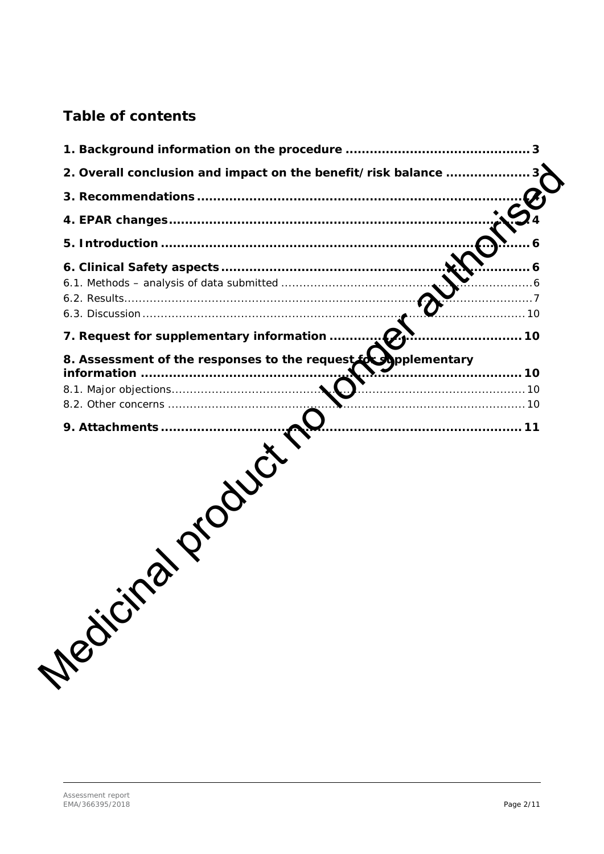# **Table of contents**

|                                                                                  | 3 |
|----------------------------------------------------------------------------------|---|
| 2. Overall conclusion and impact on the benefit/risk balance                     |   |
|                                                                                  |   |
|                                                                                  |   |
|                                                                                  |   |
| . 10                                                                             | 6 |
| 7. Request for supplementary information<br>. 10                                 |   |
| 8. Assessment of the responses to the request for applementary<br>9. Attachments |   |
| <b>MEDICITY</b>                                                                  |   |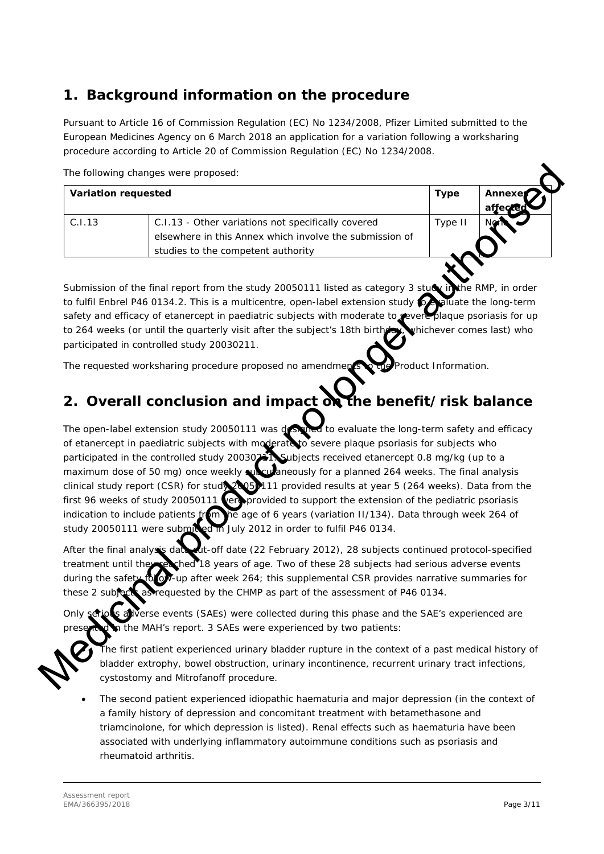# <span id="page-2-0"></span>**1. Background information on the procedure**

Pursuant to Article 16 of Commission Regulation (EC) No 1234/2008, Pfizer Limited submitted to the European Medicines Agency on 6 March 2018 an application for a variation following a worksharing procedure according to Article 20 of Commission Regulation (EC) No 1234/2008.

The following changes were proposed:

| <b>Variation requested</b> |                                                         | <b>Type</b> | Annexer<br>affected |
|----------------------------|---------------------------------------------------------|-------------|---------------------|
| C.I.13                     | C.I.13 - Other variations not specifically covered      | Type II     |                     |
|                            | elsewhere in this Annex which involve the submission of |             |                     |
|                            | studies to the competent authority                      |             |                     |

Submission of the final report from the study 20050111 listed as category 3 study in the RMP, in order to fulfil Enbrel P46 0134.2. This is a multicentre, open-label extension study to evaluate the long-term safety and efficacy of etanercept in paediatric subjects with moderate to severe plaque psoriasis for up to 264 weeks (or until the quarterly visit after the subject's 18th birthday, whichever comes last) who participated in controlled study 20030211.

The requested worksharing procedure proposed no amendments to the Product Information.

# <span id="page-2-1"></span>**2. Overall conclusion and impact on the benefit/risk balance**

The open-label extension study 20050111 was designed to evaluate the long-term safety and efficacy of etanercept in paediatric subjects with moderate to severe plaque psoriasis for subjects who participated in the controlled study 20030241. Subjects received etanercept 0.8 mg/kg (up to a maximum dose of 50 mg) once weekly subcutaneously for a planned 264 weeks. The final analysis clinical study report (CSR) for study 20050111 provided results at year 5 (264 weeks). Data from the first 96 weeks of study 20050111 vertices provided to support the extension of the pediatric psoriasis indication to include patients from the age of 6 years (variation II/134). Data through week 264 of study 20050111 were submitted in July 2012 in order to fulfil P46 0134. The following changes were proposed:<br>
Variation requested<br>
C.1.13 C.1.13 C.1bs of the American production solutions in specifically exerced<br>
C.1.13 C.1.13 C.1.13 C.113 C.113 C.113 C.113 C.12 S.12 C.12 C.12 C.12 C.12 C.12

After the final analysis data cut-off date (22 February 2012), 28 subjects continued protocol-specified treatment until they reached 18 years of age. Two of these 28 subjects had serious adverse events during the safety for up after week 264; this supplemental CSR provides narrative summaries for these 2 subjects as requested by the CHMP as part of the assessment of P46 0134.

**S** aliverse events (SAEs) were collected during this phase and the SAE's experienced are p the MAH's report. 3 SAEs were experienced by two patients:

Fhe first patient experienced urinary bladder rupture in the context of a past medical history of bladder extrophy, bowel obstruction, urinary incontinence, recurrent urinary tract infections, cystostomy and Mitrofanoff procedure.

• The second patient experienced idiopathic haematuria and major depression (in the context of a family history of depression and concomitant treatment with betamethasone and triamcinolone, for which depression is listed). Renal effects such as haematuria have been associated with underlying inflammatory autoimmune conditions such as psoriasis and rheumatoid arthritis.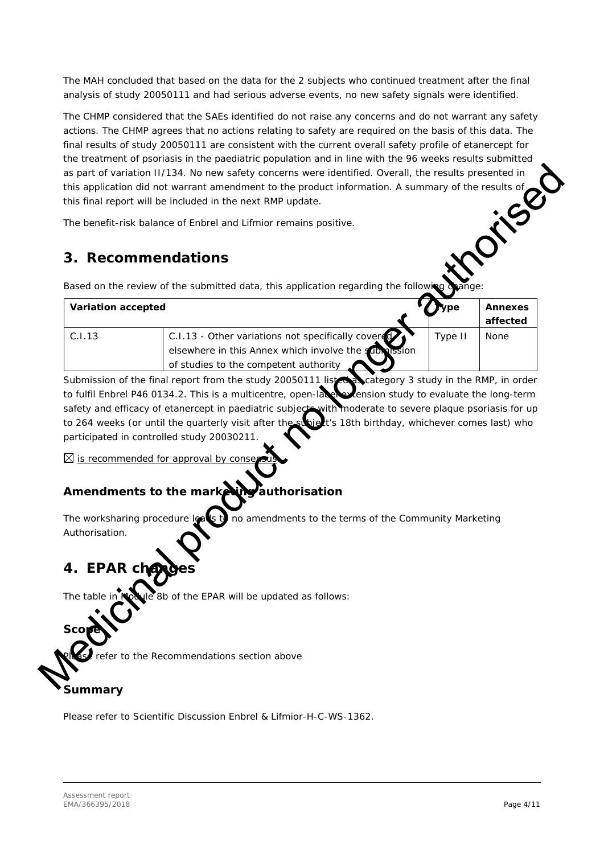The MAH concluded that based on the data for the 2 subjects who continued treatment after the final analysis of study 20050111 and had serious adverse events, no new safety signals were identified.

The CHMP considered that the SAEs identified do not raise any concerns and do not warrant any safety actions. The CHMP agrees that no actions relating to safety are required on the basis of this data. The final results of study 20050111 are consistent with the current overall safety profile of etanercept for the treatment of psoriasis in the paediatric population and in line with the 96 weeks results submitted as part of variation II/134. No new safety concerns were identified. Overall, the results presented in<br>this application did not warrant amendment to the product information. A summary of the results of<br>this final report wi this application did not warrant amendment to the product information. A summary of the results of this final report will be included in the next RMP update.

## <span id="page-3-0"></span>**3. Recommendations**

|                               | The benefit-risk balance of Enbrel and Lifmior remains positive.                                         |         |                |
|-------------------------------|----------------------------------------------------------------------------------------------------------|---------|----------------|
|                               |                                                                                                          |         |                |
|                               | 3. Recommendations                                                                                       |         |                |
|                               |                                                                                                          |         |                |
|                               | Based on the review of the submitted data, this application regarding the following                      |         |                |
| <b>Variation accepted</b>     |                                                                                                          | ype     | <b>Annexes</b> |
|                               |                                                                                                          |         | affected       |
| C.I.13                        | C.I.13 - Other variations not specifically covere                                                        | Type II | None           |
|                               | elsewhere in this Annex which involve the submission                                                     |         |                |
|                               | of studies to the competent authority                                                                    |         |                |
|                               | Submission of the final report from the study 20050111 list concategory 3 study in the RMP, in order     |         |                |
|                               |                                                                                                          |         |                |
|                               | to fulfil Enbrel P46 0134.2. This is a multicentre, open-late extension study to evaluate the long-term  |         |                |
|                               | safety and efficacy of etanercept in paediatric subjects with moderate to severe plaque psoriasis for up |         |                |
|                               | to 264 weeks (or until the quarterly visit after the subject's 18th birthday, whichever comes last) who  |         |                |
|                               | participated in controlled study 20030211.                                                               |         |                |
|                               |                                                                                                          |         |                |
|                               | $\boxtimes$ is recommended for approval by conser                                                        |         |                |
|                               |                                                                                                          |         |                |
|                               | Amendments to the mark<br>authorisation                                                                  |         |                |
|                               |                                                                                                          |         |                |
|                               | The worksharing procedure leavs to<br>no amendments to the terms of the Community Marketing              |         |                |
|                               |                                                                                                          |         |                |
|                               |                                                                                                          |         |                |
|                               |                                                                                                          |         |                |
|                               |                                                                                                          |         |                |
| Authorisation.<br>4. EPAR cha |                                                                                                          |         |                |
| The table in Not              | le 8b of the EPAR will be updated as follows:                                                            |         |                |
| Sco                           |                                                                                                          |         |                |

## *Amendments to the marketing authorisation*

# <span id="page-3-1"></span>**4. EPAR changes**

# *Summary*

Please refer to Scientific Discussion Enbrel & Lifmior-H-C-WS-1362.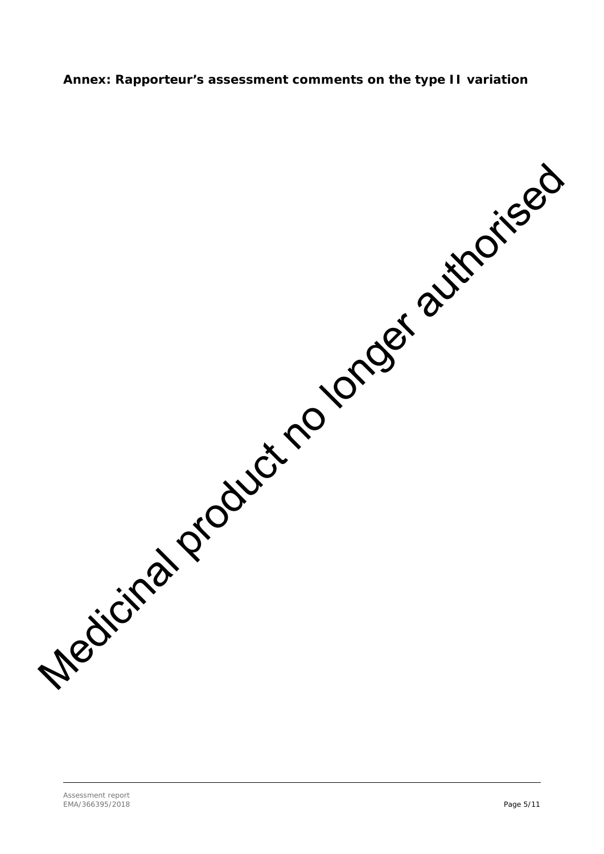#### **Annex: Rapporteur's assessment comments on the type II variation**

Medicinal product no longer authorised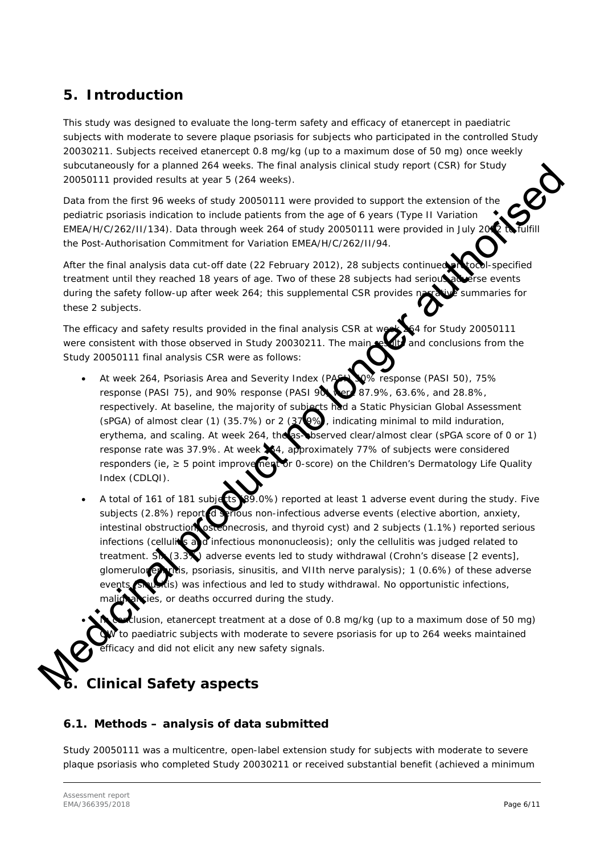# <span id="page-5-0"></span>**5. Introduction**

This study was designed to evaluate the long-term safety and efficacy of etanercept in paediatric subjects with moderate to severe plaque psoriasis for subjects who participated in the controlled Study 20030211. Subjects received etanercept 0.8 mg/kg (up to a maximum dose of 50 mg) once weekly subcutaneously for a planned 264 weeks. The final analysis clinical study report (CSR) for Study 20050111 provided results at year 5 (264 weeks).

Data from the first 96 weeks of study 20050111 were provided to support the extension of the pediatric psoriasis indication to include patients from the age of 6 years (Type II Variation EMEA/H/C/262/II/134). Data through week 264 of study 20050111 were provided in July 20 $\,$  to the Post-Authorisation Commitment for Variation EMEA/H/C/262/II/94.

After the final analysis data cut-off date (22 February 2012), 28 subjects continued protocol-specified treatment until they reached 18 years of age. Two of these 28 subjects had serious adverse events during the safety follow-up after week 264; this supplemental CSR provides narrative summaries for these 2 subjects.

The efficacy and safety results provided in the final analysis CSR at week 264 for Study 20050111<br>were consistent with those observed in Study 20030211. The main results and conclusions from the were consistent with those observed in Study 20030211. The main Study 20050111 final analysis CSR were as follows:

- At week 264, Psoriasis Area and Severity Index (PASI) 50% response (PASI 50), 75% response (PASI 75), and 90% response (PASI 90) were 87.9%, 63.6%, and 28.8%, respectively. At baseline, the majority of subjects had a Static Physician Global Assessment (sPGA) of almost clear (1) (35.7%) or 2 (37 $Q\%$ ), indicating minimal to mild induration, erythema, and scaling. At week 264, the as-observed clear/almost clear (sPGA score of 0 or 1) response rate was 37.9%. At week 264, approximately 77% of subjects were considered responders (ie,  $\geq$  5 point improve nearly or 0-score) on the Children's Dermatology Life Quality Index (CDLQI).
- A total of 161 of 181 subjects (89.0%) reported at least 1 adverse event during the study. Five subjects (2.8%) report discribus non-infectious adverse events (elective abortion, anxiety, intestinal obstruction, osteonecrosis, and thyroid cyst) and 2 subjects (1.1%) reported serious infections (cellulities and infectious mononucleosis); only the cellulitis was judged related to treatment. Six (3.3%) adverse events led to study withdrawal (Crohn's disease [2 events], glomerulorephritis, psoriasis, sinusitis, and VIIth nerve paralysis); 1 (0.6%) of these adverse  $\hat{a}$  is) was infectious and led to study withdrawal. No opportunistic infections, ies, or deaths occurred during the study. subcombing to gial short and 24 words. The initial capital short is the state in the state of the state in the formula control and from the first 9 weeks of study 20050111 were provided in support the extension of the sta

lusion, etanercept treatment at a dose of 0.8 mg/kg (up to a maximum dose of 50 mg) to paediatric subjects with moderate to severe psoriasis for up to 264 weeks maintained .<br>ficacy and did not elicit any new safety signals.

# <span id="page-5-1"></span>**6. Clinical Safety aspects**

#### <span id="page-5-2"></span>*6.1. Methods – analysis of data submitted*

Study 20050111 was a multicentre, open-label extension study for subjects with moderate to severe plaque psoriasis who completed Study 20030211 or received substantial benefit (achieved a minimum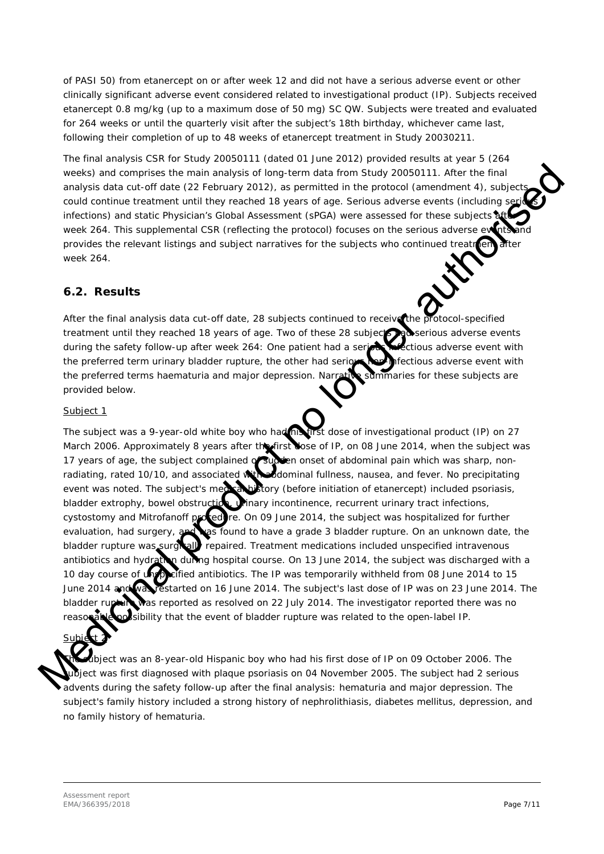of PASI 50) from etanercept on or after week 12 and did not have a serious adverse event or other clinically significant adverse event considered related to investigational product (IP). Subjects received etanercept 0.8 mg/kg (up to a maximum dose of 50 mg) SC QW. Subjects were treated and evaluated for 264 weeks or until the quarterly visit after the subject's 18th birthday, whichever came last, following their completion of up to 48 weeks of etanercept treatment in Study 20030211.

The final analysis CSR for Study 20050111 (dated 01 June 2012) provided results at year 5 (264 weeks) and comprises the main analysis of long-term data from Study 20050111. After the final analysis data cut-off date (22 February 2012), as permitted in the protocol (amendment 4), subje could continue treatment until they reached 18 years of age. Serious adverse events (including s infections) and static Physician's Global Assessment (sPGA) were assessed for these subjects at week 264. This supplemental CSR (reflecting the protocol) focuses on the serious adverse event provides the relevant listings and subject narratives for the subjects who continued treatment week 264.

### <span id="page-6-0"></span>*6.2. Results*

After the final analysis data cut-off date, 28 subjects continued to receive the protocol-specified After the miar analysis sate out on serie,  $-$  and series of these 28 subjects and serious adverse events during the safety follow-up after week 264: One patient had a serious infectious adverse event with the preferred term urinary bladder rupture, the other had serious non-infectious adverse event with the preferred terms haematuria and major depression. Narrative summaries for these subjects are provided below.

#### Subject 1

The subject was a 9-year-old white boy who had his tirst dose of investigational product (IP) on 27 March 2006. Approximately 8 years after the first dose of IP, on 08 June 2014, when the subject was 17 years of age, the subject complained of succe on onset of abdominal pain which was sharp, nonradiating, rated 10/10, and associated with abdominal fullness, nausea, and fever. No precipitating event was noted. The subject's medical history (before initiation of etanercept) included psoriasis, bladder extrophy, bowel obstruction, winary incontinence, recurrent urinary tract infections, cystostomy and Mitrofanoff procedure. On 09 June 2014, the subject was hospitalized for further evaluation, had surgery, and was found to have a grade 3 bladder rupture. On an unknown date, the bladder rupture was surgically repaired. Treatment medications included unspecified intravenous antibiotics and hydration during hospital course. On 13 June 2014, the subject was discharged with a<br>10 day course of unpositied antibiotics. The IP was temporarily withheld from 08 June 2014 to 15  $\epsilon$  fied antibiotics. The IP was temporarily withheld from 08 June 2014 to 15 June 2014 and was restarted on 16 June 2014. The subject's last dose of IP was on 23 June 2014. The as reported as resolved on 22 July 2014. The investigator reported there was no osibility that the event of bladder rupture was related to the open-label IP. weeks) and computes the main panylis of long-term data mem-Study 2009111. Met the final product could continue trusted to the protocol continue trusted to the member and the system with the protocol continue trusted of th

Ibject was an 8-year-old Hispanic boy who had his first dose of IP on 09 October 2006. The  $\overline{B}$  ject was first diagnosed with plaque psoriasis on 04 November 2005. The subject had 2 serious advents during the safety follow-up after the final analysis: hematuria and major depression. The subject's family history included a strong history of nephrolithiasis, diabetes mellitus, depression, and no family history of hematuria.

<u>Subie</u>ct 2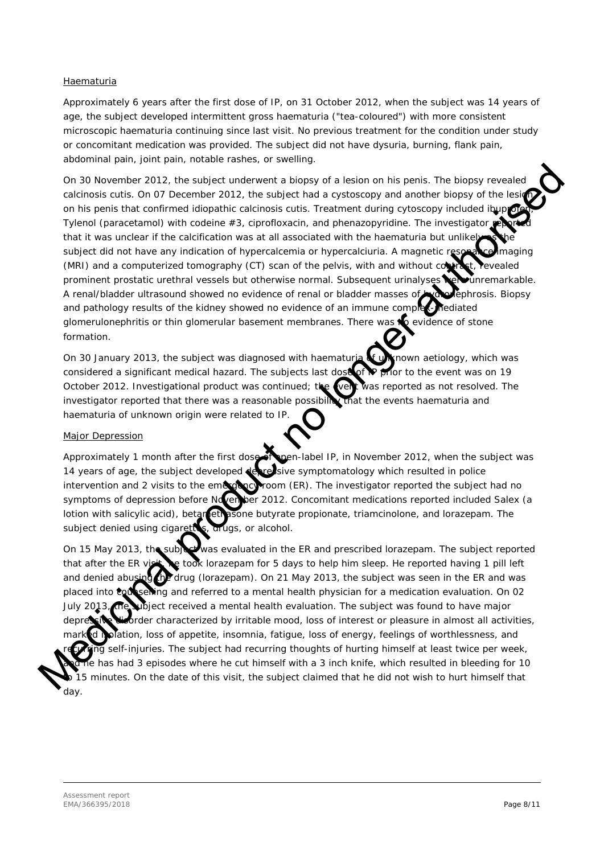#### Haematuria

Approximately 6 years after the first dose of IP, on 31 October 2012, when the subject was 14 years of age, the subject developed intermittent gross haematuria ("tea-coloured") with more consistent microscopic haematuria continuing since last visit. No previous treatment for the condition under study or concomitant medication was provided. The subject did not have dysuria, burning, flank pain, abdominal pain, joint pain, notable rashes, or swelling.

On 30 November 2012, the subject underwent a biopsy of a lesion on his penis. The biopsy revealed calcinosis cutis. On 07 December 2012, the subject had a cystoscopy and another biopsy of the lesion on his penis that confirmed idiopathic calcinosis cutis. Treatment during cytoscopy included ibup Tylenol (paracetamol) with codeine  $#3$ , ciprofloxacin, and phenazopyridine. The investigator that it was unclear if the calcification was at all associated with the haematuria but unlike subject did not have any indication of hypercalcemia or hypercalciuria. A magnetic resonance imaging (MRI) and a computerized tomography (CT) scan of the pelvis, with and without contrast, revealed prominent prostatic urethral vessels but otherwise normal. Subsequent urinalyses **were unremarkable.** A renal/bladder ultrasound showed no evidence of renal or bladder masses of **hydronephrosis. Biopsy** and pathology results of the kidney showed no evidence of an immune complex-mediated glomerulonephritis or thin glomerular basement membranes. There was  $\bigotimes$  evidence of stone formation. the subject underwent a biopsy of a lesion on his penis. The biopsy revealed<br>ecember 2012, the subject had a cystoscopy and another biopsy of the lesion<br>cember 2012, the subject had a cystoscopy and another biopsy of the l

On 30 January 2013, the subject was diagnosed with haematuria  $\mathbf{f}$  unknown aetiology, which was considered a significant medical hazard. The subjects last dose of **IP** prior to the event was on 19 October 2012. Investigational product was continued; the weat was reported as not resolved. The investigator reported that there was a reasonable possibility that the events haematuria and haematuria of unknown origin were related to IP.

#### Major Depression

Approximately 1 month after the first dose of open-label IP, in November 2012, when the subject was 14 years of age, the subject developed depressive symptomatology which resulted in police intervention and 2 visits to the emerging room (ER). The investigator reported the subject had no symptoms of depression before November 2012. Concomitant medications reported included Salex (a lotion with salicylic acid), betamethasone butyrate propionate, triamcinolone, and lorazepam. The subject denied using cigarettes, arugs, or alcohol.

On 15 May 2013, the subject was evaluated in the ER and prescribed lorazepam. The subject reported that after the ER visit, the took lorazepam for 5 days to help him sleep. He reported having 1 pill left and denied abusing the drug (lorazepam). On 21 May 2013, the subject was seen in the ER and was placed into **conserving** and referred to a mental health physician for a medication evaluation. On 02 **Jubject received a mental health evaluation. The subject was found to have major** order characterized by irritable mood, loss of interest or pleasure in almost all activities, plation, loss of appetite, insomnia, fatigue, loss of energy, feelings of worthlessness, and ig self-injuries. The subject had recurring thoughts of hurting himself at least twice per week,  $\frac{1}{2}$  has had 3 episodes where he cut himself with a 3 inch knife, which resulted in bleeding for 10 15 minutes. On the date of this visit, the subject claimed that he did not wish to hurt himself that On 15 May 2013, the subject<br>that after the ER visit and denied abusing the to<br>and denied abusing the dru<br>placed into concerning and<br>July 2013, the ubject receive<br>depressive subplect receive<br>depressive subplect receive<br>mark day.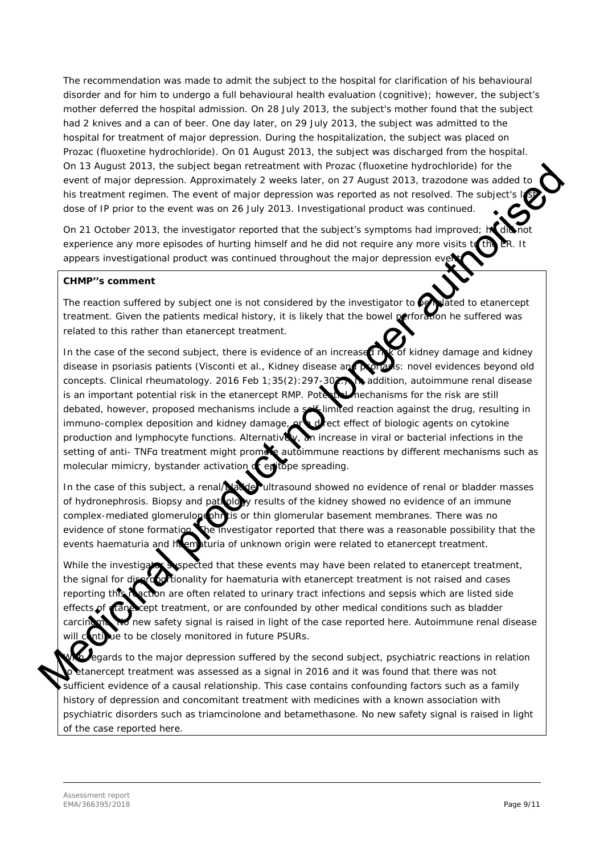The recommendation was made to admit the subject to the hospital for clarification of his behavioural disorder and for him to undergo a full behavioural health evaluation (cognitive); however, the subject's mother deferred the hospital admission. On 28 July 2013, the subject's mother found that the subject had 2 knives and a can of beer. One day later, on 29 July 2013, the subject was admitted to the hospital for treatment of major depression. During the hospitalization, the subject was placed on Prozac (fluoxetine hydrochloride). On 01 August 2013, the subject was discharged from the hospital. On 13 August 2013, the subject began retreatment with Prozac (fluoxetine hydrochloride) for the event of major depression. Approximately 2 weeks later, on 27 August 2013, trazodone was added to his treatment regimen. The event of major depression was reported as not resolved. The subject's dose of IP prior to the event was on 26 July 2013. Investigational product was continued.

On 21 October 2013, the investigator reported that the subject's symptoms had improved; he experience any more episodes of hurting himself and he did not require any more visits appears investigational product was continued throughout the major depression e

#### *CHMP''s comment*

The reaction suffered by subject one is not considered by the investigator to  $\log$  plated to etanercept treatment. Given the patients medical history, it is likely that the bowel perforation he suffered was related to this rather than etanercept treatment.

In the case of the second subject, there is evidence of an increased rolls of kidney damage and kidney disease in psoriasis patients (Visconti et al., Kidney disease and portagle: novel evidences beyond old concepts. Clinical rheumatology. 2016 Feb 1;35(2):297-302. A addition, autoimmune renal disease is an important potential risk in the etanercept RMP. Potential mechanisms for the risk are still debated, however, proposed mechanisms include a self-limited reaction against the drug, resulting in immuno-complex deposition and kidney damage, or a direct effect of biologic agents on cytokine production and lymphocyte functions. Alternatively, an increase in viral or bacterial infections in the setting of anti- TNFa treatment might promote autoimmune reactions by different mechanisms such as molecular mimicry, bystander activation of epitope spreading. In this August 2013, the sample has a mission that the sample during the controller by the high controller and the sample during the sample during the sample during the sample of the sample of the sample of the sample of t

In the case of this subject, a renal/**Nadig-** ultrasound showed no evidence of renal or bladder masses of hydronephrosis. Biopsy and pathology results of the kidney showed no evidence of an immune complex-mediated glomerulone phritis or thin glomerular basement membranes. There was no evidence of stone formation. The investigator reported that there was a reasonable possibility that the events haematuria and haematuria of unknown origin were related to etanercept treatment.

While the investigator suspected that these events may have been related to etanercept treatment, the signal for disproportionality for haematuria with etanercept treatment is not raised and cases reporting this reaction are often related to urinary tract infections and sepsis which are listed side effects of clanescept treatment, or are confounded by other medical conditions such as bladder new safety signal is raised in light of the case reported here. Autoimmune renal disease intitue to be closely monitored in future PSURs.

egards to the major depression suffered by the second subject, psychiatric reactions in relation etanercept treatment was assessed as a signal in 2016 and it was found that there was not sufficient evidence of a causal relationship. This case contains confounding factors such as a family history of depression and concomitant treatment with medicines with a known association with psychiatric disorders such as triamcinolone and betamethasone. No new safety signal is raised in light of the case reported here.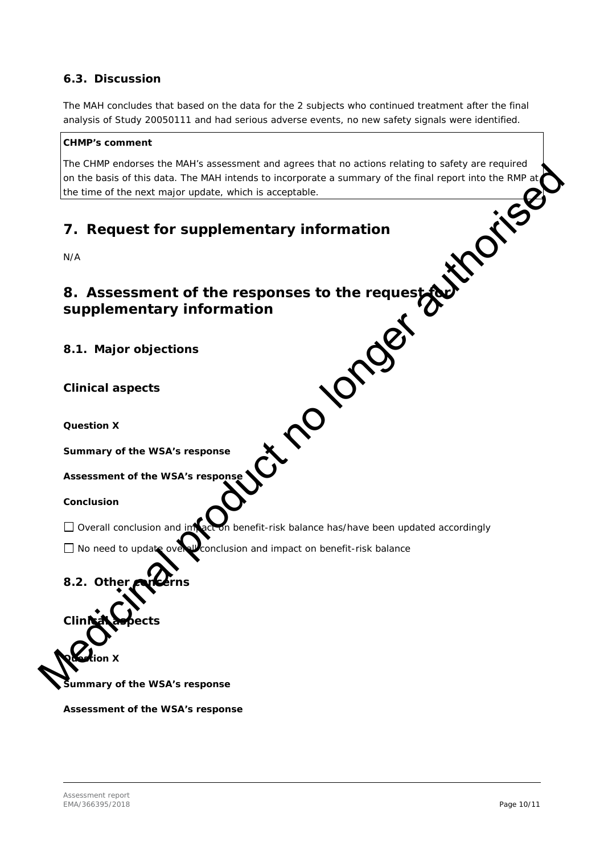#### <span id="page-9-0"></span>*6.3. Discussion*

The MAH concludes that based on the data for the 2 subjects who continued treatment after the final analysis of Study 20050111 and had serious adverse events, no new safety signals were identified.

#### *CHMP's comment*

<span id="page-9-1"></span>The CHMP endorses the MAH's assessment and agrees that no actions relating to safety are required on the basis of this data. The MAH intends to incorporate a summary of the final report into the RMP at $_{\rm i}$ the time of the next major update, which is acceptable.

<span id="page-9-4"></span><span id="page-9-3"></span><span id="page-9-2"></span>